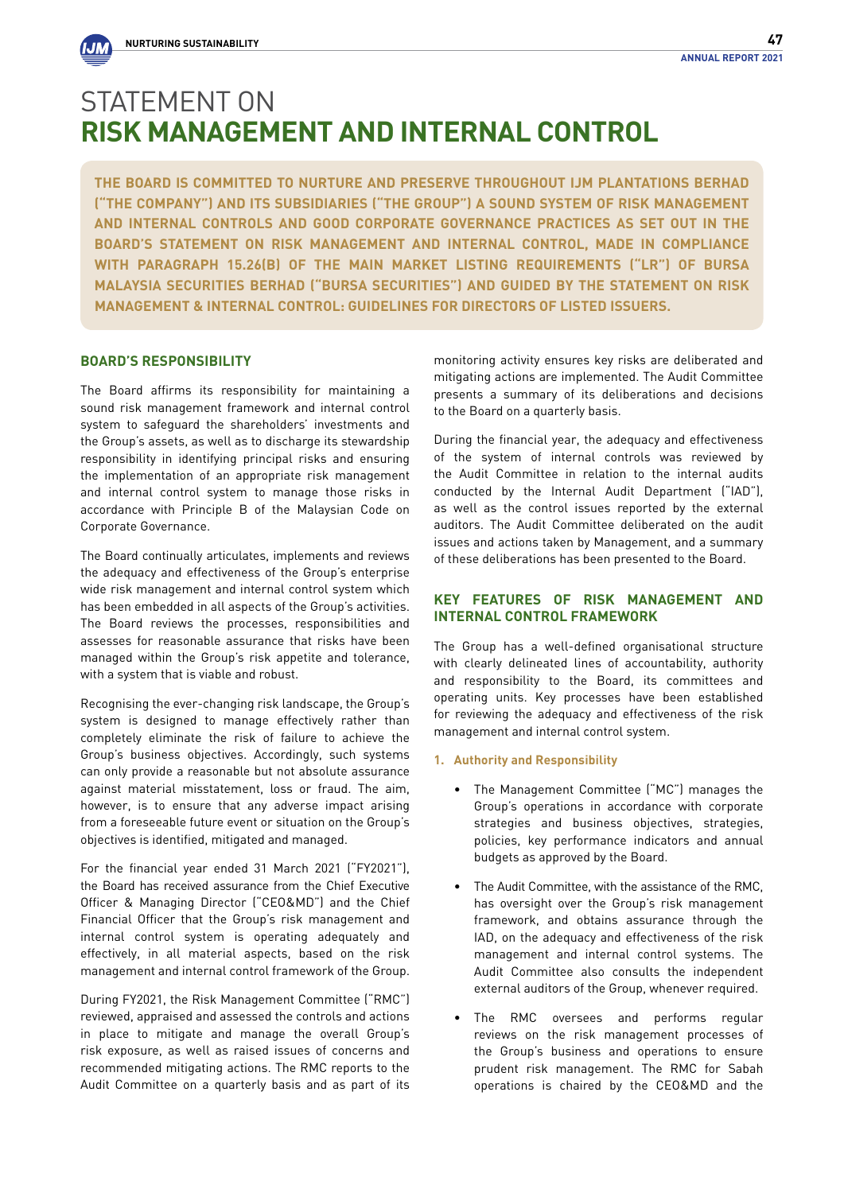**The Board is committed to nurture and preserve throughout IJM Plantations Berhad ("the Company") and its subsidiaries ("the Group") a sound system of risk management and internal controls and good corporate governance practices as set out in the Board's Statement on Risk Management and Internal Control, made in compliance with Paragraph 15.26(b) of the Main Market Listing Requirements ("LR") of Bursa Malaysia Securities Berhad ("Bursa Securities") and guided by the Statement on Risk Management & Internal Control: Guidelines for Directors of Listed Issuers.** 

### **BOARD'S RESPONSIBILITY**

The Board affirms its responsibility for maintaining a sound risk management framework and internal control system to safeguard the shareholders' investments and the Group's assets, as well as to discharge its stewardship responsibility in identifying principal risks and ensuring the implementation of an appropriate risk management and internal control system to manage those risks in accordance with Principle B of the Malaysian Code on Corporate Governance.

The Board continually articulates, implements and reviews the adequacy and effectiveness of the Group's enterprise wide risk management and internal control system which has been embedded in all aspects of the Group's activities. The Board reviews the processes, responsibilities and assesses for reasonable assurance that risks have been managed within the Group's risk appetite and tolerance, with a system that is viable and robust.

Recognising the ever-changing risk landscape, the Group's system is designed to manage effectively rather than completely eliminate the risk of failure to achieve the Group's business objectives. Accordingly, such systems can only provide a reasonable but not absolute assurance against material misstatement, loss or fraud. The aim, however, is to ensure that any adverse impact arising from a foreseeable future event or situation on the Group's objectives is identified, mitigated and managed.

For the financial year ended 31 March 2021 ("FY2021"), the Board has received assurance from the Chief Executive Officer & Managing Director ("CEO&MD") and the Chief Financial Officer that the Group's risk management and internal control system is operating adequately and effectively, in all material aspects, based on the risk management and internal control framework of the Group.

During FY2021, the Risk Management Committee ("RMC") reviewed, appraised and assessed the controls and actions in place to mitigate and manage the overall Group's risk exposure, as well as raised issues of concerns and recommended mitigating actions. The RMC reports to the Audit Committee on a quarterly basis and as part of its

monitoring activity ensures key risks are deliberated and mitigating actions are implemented. The Audit Committee presents a summary of its deliberations and decisions to the Board on a quarterly basis.

During the financial year, the adequacy and effectiveness of the system of internal controls was reviewed by the Audit Committee in relation to the internal audits conducted by the Internal Audit Department ("IAD"), as well as the control issues reported by the external auditors. The Audit Committee deliberated on the audit issues and actions taken by Management, and a summary of these deliberations has been presented to the Board.

### **KEY FEATURES OF RISK MANAGEMENT AND INTERNAL CONTROL FRAMEWORK**

The Group has a well-defined organisational structure with clearly delineated lines of accountability, authority and responsibility to the Board, its committees and operating units. Key processes have been established for reviewing the adequacy and effectiveness of the risk management and internal control system.

### **1. Authority and Responsibility**

- The Management Committee ("MC") manages the Group's operations in accordance with corporate strategies and business objectives, strategies, policies, key performance indicators and annual budgets as approved by the Board.
- The Audit Committee, with the assistance of the RMC, has oversight over the Group's risk management framework, and obtains assurance through the IAD, on the adequacy and effectiveness of the risk management and internal control systems. The Audit Committee also consults the independent external auditors of the Group, whenever required.
- The RMC oversees and performs regular reviews on the risk management processes of the Group's business and operations to ensure prudent risk management. The RMC for Sabah operations is chaired by the CEO&MD and the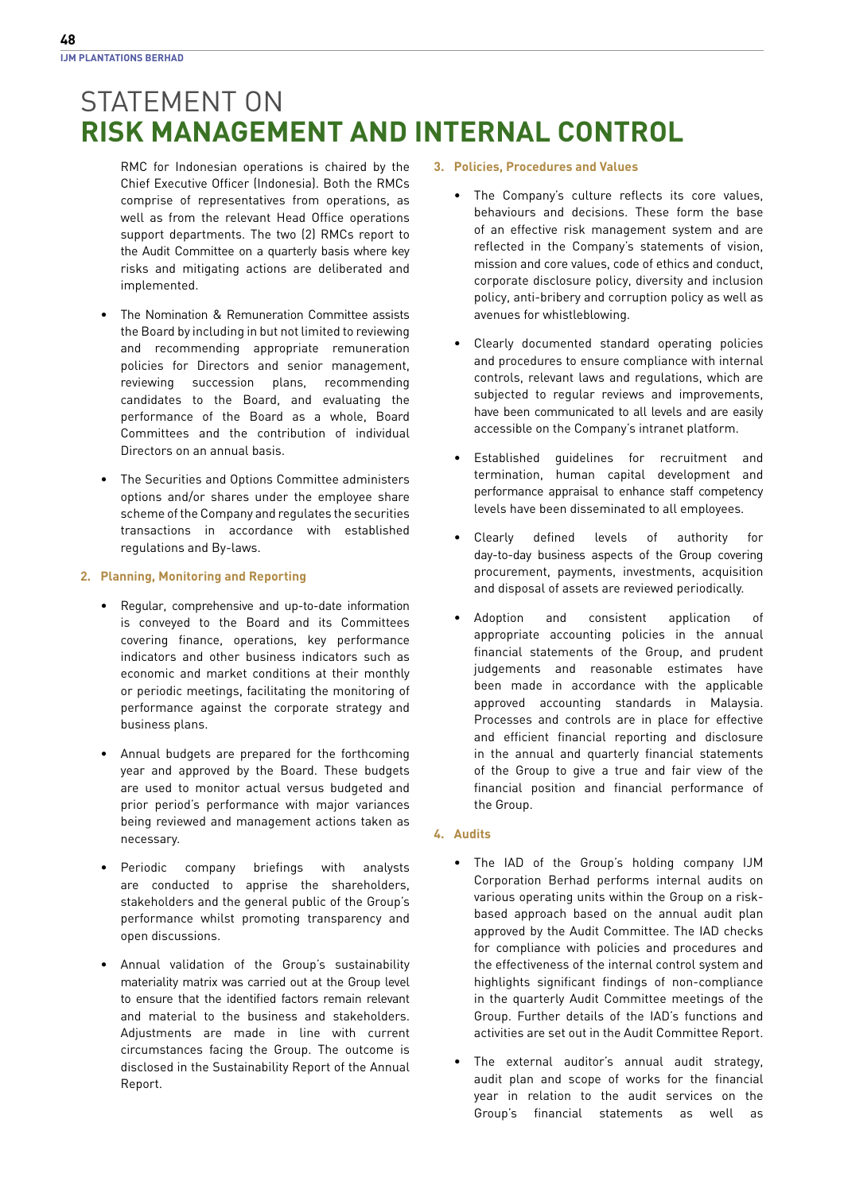- RMC for Indonesian operations is chaired by the Chief Executive Officer (Indonesia). Both the RMCs comprise of representatives from operations, as well as from the relevant Head Office operations support departments. The two (2) RMCs report to the Audit Committee on a quarterly basis where key risks and mitigating actions are deliberated and implemented.
- The Nomination & Remuneration Committee assists the Board by including in but not limited to reviewing and recommending appropriate remuneration policies for Directors and senior management, reviewing succession plans, recommending candidates to the Board, and evaluating the performance of the Board as a whole, Board Committees and the contribution of individual Directors on an annual basis.
- The Securities and Options Committee administers options and/or shares under the employee share scheme of the Company and regulates the securities transactions in accordance with established regulations and By-laws.

### **2. Planning, Monitoring and Reporting**

- Regular, comprehensive and up-to-date information is conveyed to the Board and its Committees covering finance, operations, key performance indicators and other business indicators such as economic and market conditions at their monthly or periodic meetings, facilitating the monitoring of performance against the corporate strategy and business plans.
- Annual budgets are prepared for the forthcoming year and approved by the Board. These budgets are used to monitor actual versus budgeted and prior period's performance with major variances being reviewed and management actions taken as necessary.
- Periodic company briefings with analysts are conducted to apprise the shareholders, stakeholders and the general public of the Group's performance whilst promoting transparency and open discussions.
- Annual validation of the Group's sustainability materiality matrix was carried out at the Group level to ensure that the identified factors remain relevant and material to the business and stakeholders. Adjustments are made in line with current circumstances facing the Group. The outcome is disclosed in the Sustainability Report of the Annual Report.

### **3. Policies, Procedures and Values**

- The Company's culture reflects its core values, behaviours and decisions. These form the base of an effective risk management system and are reflected in the Company's statements of vision, mission and core values, code of ethics and conduct, corporate disclosure policy, diversity and inclusion policy, anti-bribery and corruption policy as well as avenues for whistleblowing.
- Clearly documented standard operating policies and procedures to ensure compliance with internal controls, relevant laws and regulations, which are subjected to regular reviews and improvements, have been communicated to all levels and are easily accessible on the Company's intranet platform.
- Established guidelines for recruitment and termination, human capital development and performance appraisal to enhance staff competency levels have been disseminated to all employees.
- Clearly defined levels of authority for day-to-day business aspects of the Group covering procurement, payments, investments, acquisition and disposal of assets are reviewed periodically.
- Adoption and consistent application of appropriate accounting policies in the annual financial statements of the Group, and prudent judgements and reasonable estimates have been made in accordance with the applicable approved accounting standards in Malaysia. Processes and controls are in place for effective and efficient financial reporting and disclosure in the annual and quarterly financial statements of the Group to give a true and fair view of the financial position and financial performance of the Group.

### **4. Audits**

- The IAD of the Group's holding company IJM Corporation Berhad performs internal audits on various operating units within the Group on a riskbased approach based on the annual audit plan approved by the Audit Committee. The IAD checks for compliance with policies and procedures and the effectiveness of the internal control system and highlights significant findings of non-compliance in the quarterly Audit Committee meetings of the Group. Further details of the IAD's functions and activities are set out in the Audit Committee Report.
- The external auditor's annual audit strategy, audit plan and scope of works for the financial year in relation to the audit services on the Group's financial statements as well as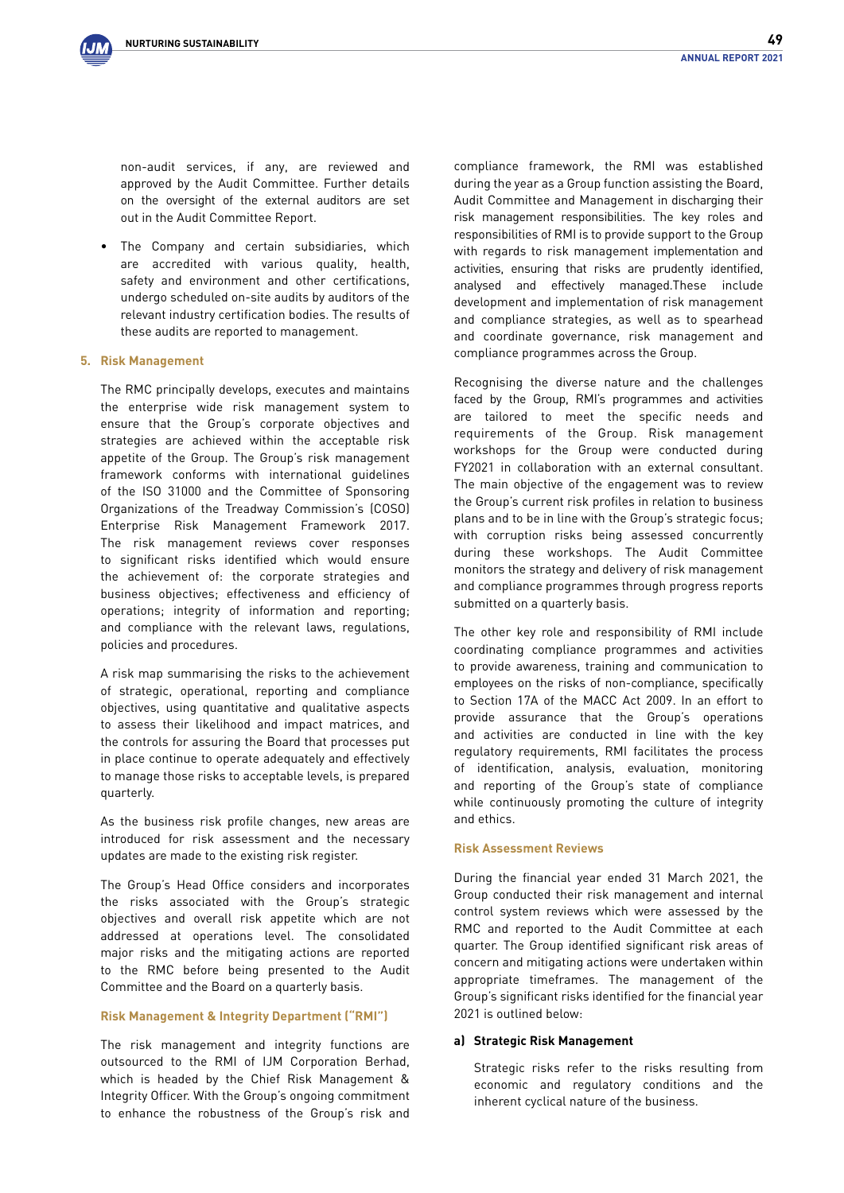non-audit services, if any, are reviewed and approved by the Audit Committee. Further details on the oversight of the external auditors are set out in the Audit Committee Report.

The Company and certain subsidiaries, which are accredited with various quality, health, safety and environment and other certifications, undergo scheduled on-site audits by auditors of the relevant industry certification bodies. The results of these audits are reported to management.

### **5. Risk Management**

The RMC principally develops, executes and maintains the enterprise wide risk management system to ensure that the Group's corporate objectives and strategies are achieved within the acceptable risk appetite of the Group. The Group's risk management framework conforms with international guidelines of the ISO 31000 and the Committee of Sponsoring Organizations of the Treadway Commission's (COSO) Enterprise Risk Management Framework 2017. The risk management reviews cover responses to significant risks identified which would ensure the achievement of: the corporate strategies and business objectives; effectiveness and efficiency of operations; integrity of information and reporting; and compliance with the relevant laws, regulations, policies and procedures.

A risk map summarising the risks to the achievement of strategic, operational, reporting and compliance objectives, using quantitative and qualitative aspects to assess their likelihood and impact matrices, and the controls for assuring the Board that processes put in place continue to operate adequately and effectively to manage those risks to acceptable levels, is prepared quarterly.

As the business risk profile changes, new areas are introduced for risk assessment and the necessary updates are made to the existing risk register.

The Group's Head Office considers and incorporates the risks associated with the Group's strategic objectives and overall risk appetite which are not addressed at operations level. The consolidated major risks and the mitigating actions are reported to the RMC before being presented to the Audit Committee and the Board on a quarterly basis.

#### **Risk Management & Integrity Department ("RMI")**

The risk management and integrity functions are outsourced to the RMI of IJM Corporation Berhad, which is headed by the Chief Risk Management & Integrity Officer. With the Group's ongoing commitment to enhance the robustness of the Group's risk and

compliance framework, the RMI was established during the year as a Group function assisting the Board, Audit Committee and Management in discharging their risk management responsibilities. The key roles and responsibilities of RMI is to provide support to the Group with regards to risk management implementation and activities, ensuring that risks are prudently identified, analysed and effectively managed.These include development and implementation of risk management and compliance strategies, as well as to spearhead and coordinate governance, risk management and compliance programmes across the Group.

Recognising the diverse nature and the challenges faced by the Group, RMI's programmes and activities are tailored to meet the specific needs and requirements of the Group. Risk management workshops for the Group were conducted during FY2021 in collaboration with an external consultant. The main objective of the engagement was to review the Group's current risk profiles in relation to business plans and to be in line with the Group's strategic focus; with corruption risks being assessed concurrently during these workshops. The Audit Committee monitors the strategy and delivery of risk management and compliance programmes through progress reports submitted on a quarterly basis.

The other key role and responsibility of RMI include coordinating compliance programmes and activities to provide awareness, training and communication to employees on the risks of non-compliance, specifically to Section 17A of the MACC Act 2009. In an effort to provide assurance that the Group's operations and activities are conducted in line with the key regulatory requirements, RMI facilitates the process of identification, analysis, evaluation, monitoring and reporting of the Group's state of compliance while continuously promoting the culture of integrity and ethics.

### **Risk Assessment Reviews**

During the financial year ended 31 March 2021, the Group conducted their risk management and internal control system reviews which were assessed by the RMC and reported to the Audit Committee at each quarter. The Group identified significant risk areas of concern and mitigating actions were undertaken within appropriate timeframes. The management of the Group's significant risks identified for the financial year 2021 is outlined below:

#### **a) Strategic Risk Management**

Strategic risks refer to the risks resulting from economic and regulatory conditions and the inherent cyclical nature of the business.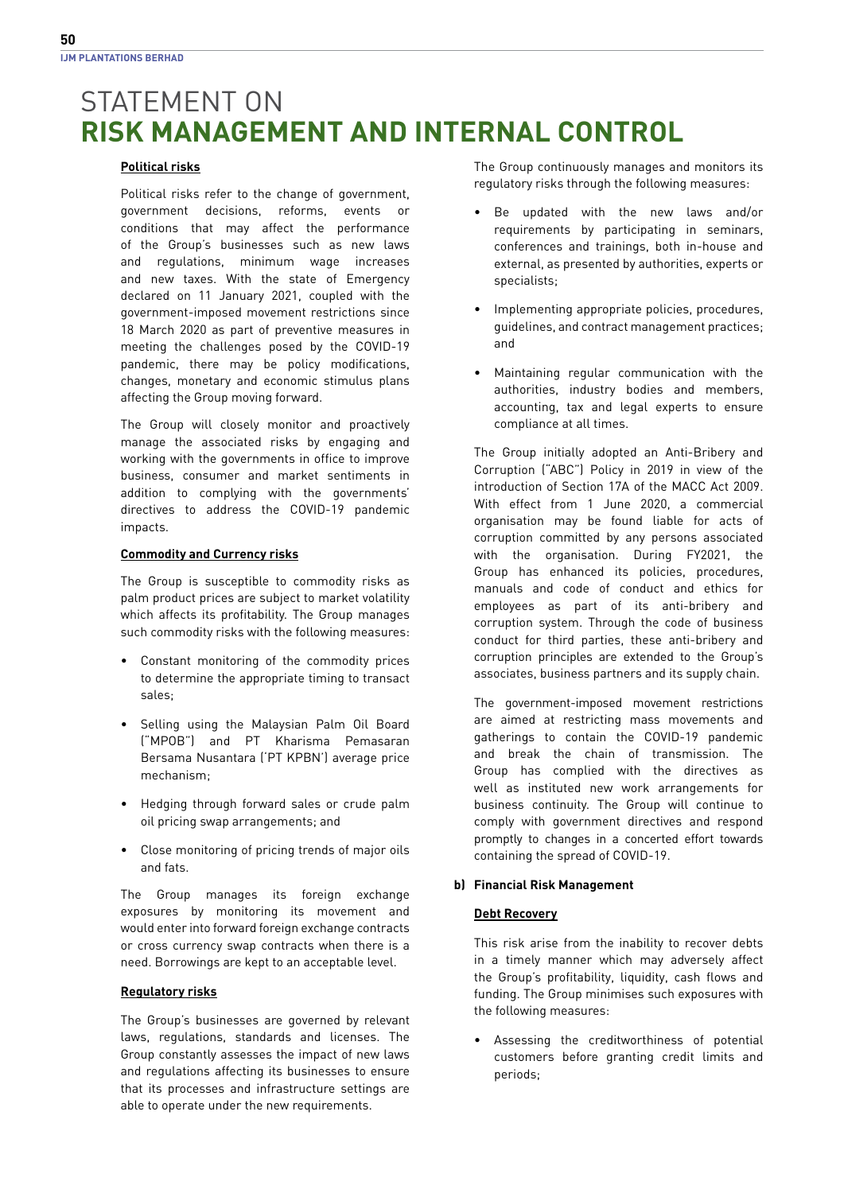### **Political risks**

 Political risks refer to the change of government, government decisions, reforms, events or conditions that may affect the performance of the Group's businesses such as new laws and regulations, minimum wage increases and new taxes. With the state of Emergency declared on 11 January 2021, coupled with the government-imposed movement restrictions since 18 March 2020 as part of preventive measures in meeting the challenges posed by the COVID-19 pandemic, there may be policy modifications, changes, monetary and economic stimulus plans affecting the Group moving forward.

 The Group will closely monitor and proactively manage the associated risks by engaging and working with the governments in office to improve business, consumer and market sentiments in addition to complying with the governments' directives to address the COVID-19 pandemic impacts.

### **Commodity and Currency risks**

 The Group is susceptible to commodity risks as palm product prices are subject to market volatility which affects its profitability. The Group manages such commodity risks with the following measures:

- Constant monitoring of the commodity prices to determine the appropriate timing to transact sales;
- Selling using the Malaysian Palm Oil Board ("MPOB") and PT Kharisma Pemasaran Bersama Nusantara ('PT KPBN') average price mechanism;
- Hedging through forward sales or crude palm oil pricing swap arrangements; and
- Close monitoring of pricing trends of major oils and fats.

 The Group manages its foreign exchange exposures by monitoring its movement and would enter into forward foreign exchange contracts or cross currency swap contracts when there is a need. Borrowings are kept to an acceptable level.

### **Regulatory risks**

 The Group's businesses are governed by relevant laws, regulations, standards and licenses. The Group constantly assesses the impact of new laws and regulations affecting its businesses to ensure that its processes and infrastructure settings are able to operate under the new requirements.

 The Group continuously manages and monitors its regulatory risks through the following measures:

- Be updated with the new laws and/or requirements by participating in seminars, conferences and trainings, both in-house and external, as presented by authorities, experts or specialists;
- Implementing appropriate policies, procedures, guidelines, and contract management practices; and
- Maintaining regular communication with the authorities, industry bodies and members, accounting, tax and legal experts to ensure compliance at all times.

 The Group initially adopted an Anti-Bribery and Corruption ("ABC") Policy in 2019 in view of the introduction of Section 17A of the MACC Act 2009. With effect from 1 June 2020, a commercial organisation may be found liable for acts of corruption committed by any persons associated with the organisation. During FY2021, the Group has enhanced its policies, procedures, manuals and code of conduct and ethics for employees as part of its anti-bribery and corruption system. Through the code of business conduct for third parties, these anti-bribery and corruption principles are extended to the Group's associates, business partners and its supply chain.

 The government-imposed movement restrictions are aimed at restricting mass movements and gatherings to contain the COVID-19 pandemic and break the chain of transmission. The Group has complied with the directives as well as instituted new work arrangements for business continuity. The Group will continue to comply with government directives and respond promptly to changes in a concerted effort towards containing the spread of COVID-19.

### **b) Financial Risk Management**

### **Debt Recovery**

This risk arise from the inability to recover debts in a timely manner which may adversely affect the Group's profitability, liquidity, cash flows and funding. The Group minimises such exposures with the following measures:

• Assessing the creditworthiness of potential customers before granting credit limits and periods;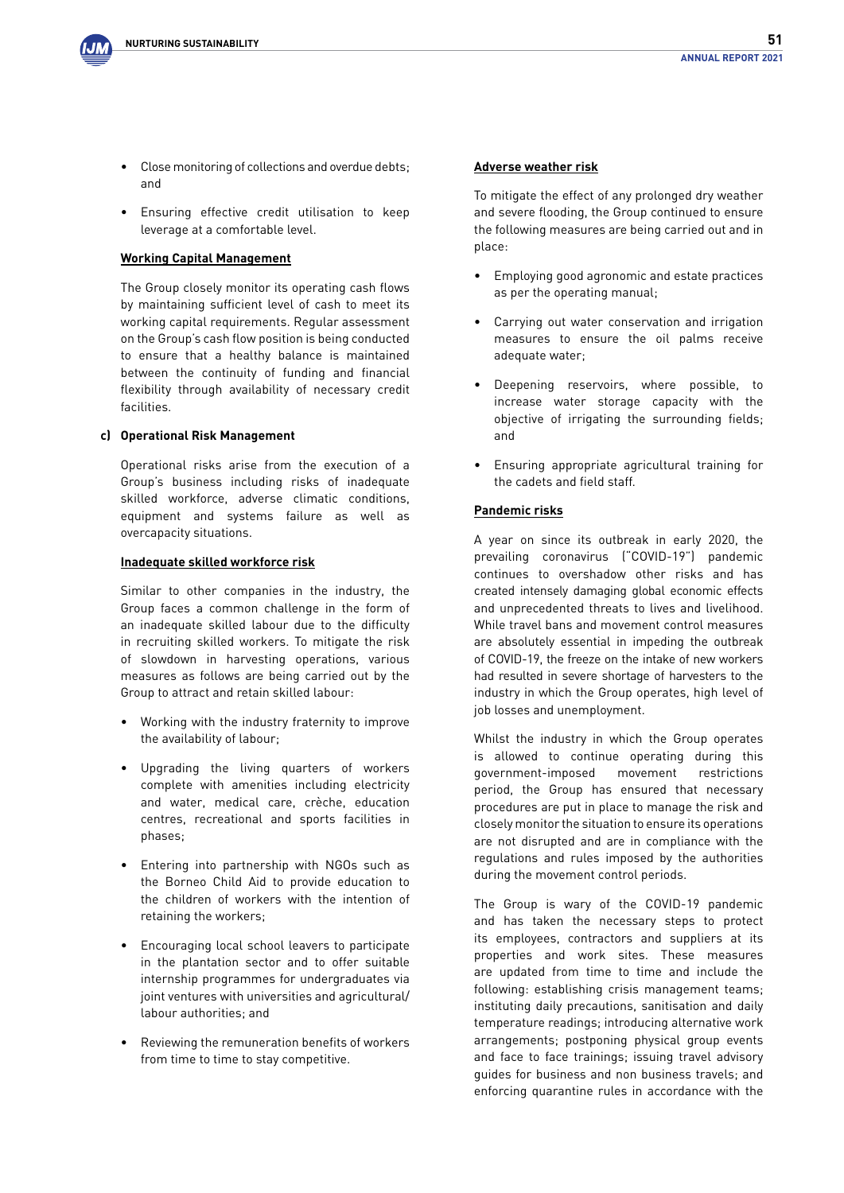

- Close monitoring of collections and overdue debts; and
- Ensuring effective credit utilisation to keep leverage at a comfortable level.

### **Working Capital Management**

 The Group closely monitor its operating cash flows by maintaining sufficient level of cash to meet its working capital requirements. Regular assessment on the Group's cash flow position is being conducted to ensure that a healthy balance is maintained between the continuity of funding and financial flexibility through availability of necessary credit facilities.

### **c) Operational Risk Management**

 Operational risks arise from the execution of a Group's business including risks of inadequate skilled workforce, adverse climatic conditions, equipment and systems failure as well as overcapacity situations.

### **Inadequate skilled workforce risk**

Similar to other companies in the industry, the Group faces a common challenge in the form of an inadequate skilled labour due to the difficulty in recruiting skilled workers. To mitigate the risk of slowdown in harvesting operations, various measures as follows are being carried out by the Group to attract and retain skilled labour:

- Working with the industry fraternity to improve the availability of labour;
- Upgrading the living quarters of workers complete with amenities including electricity and water, medical care, crèche, education centres, recreational and sports facilities in phases;
- Entering into partnership with NGOs such as the Borneo Child Aid to provide education to the children of workers with the intention of retaining the workers;
- Encouraging local school leavers to participate in the plantation sector and to offer suitable internship programmes for undergraduates via joint ventures with universities and agricultural/ labour authorities; and
- Reviewing the remuneration benefits of workers from time to time to stay competitive.

### **Adverse weather risk**

 To mitigate the effect of any prolonged dry weather and severe flooding, the Group continued to ensure the following measures are being carried out and in place:

- Employing good agronomic and estate practices as per the operating manual;
- Carrying out water conservation and irrigation measures to ensure the oil palms receive adequate water;
- Deepening reservoirs, where possible, to increase water storage capacity with the objective of irrigating the surrounding fields; and
- Ensuring appropriate agricultural training for the cadets and field staff.

### **Pandemic risks**

 A year on since its outbreak in early 2020, the prevailing coronavirus ("COVID-19") pandemic continues to overshadow other risks and has created intensely damaging global economic effects and unprecedented threats to lives and livelihood. While travel bans and movement control measures are absolutely essential in impeding the outbreak of COVID-19, the freeze on the intake of new workers had resulted in severe shortage of harvesters to the industry in which the Group operates, high level of job losses and unemployment.

 Whilst the industry in which the Group operates is allowed to continue operating during this government-imposed movement restrictions period, the Group has ensured that necessary procedures are put in place to manage the risk and closely monitor the situation to ensure its operations are not disrupted and are in compliance with the regulations and rules imposed by the authorities during the movement control periods.

 The Group is wary of the COVID-19 pandemic and has taken the necessary steps to protect its employees, contractors and suppliers at its properties and work sites. These measures are updated from time to time and include the following: establishing crisis management teams; instituting daily precautions, sanitisation and daily temperature readings; introducing alternative work arrangements; postponing physical group events and face to face trainings; issuing travel advisory guides for business and non business travels; and enforcing quarantine rules in accordance with the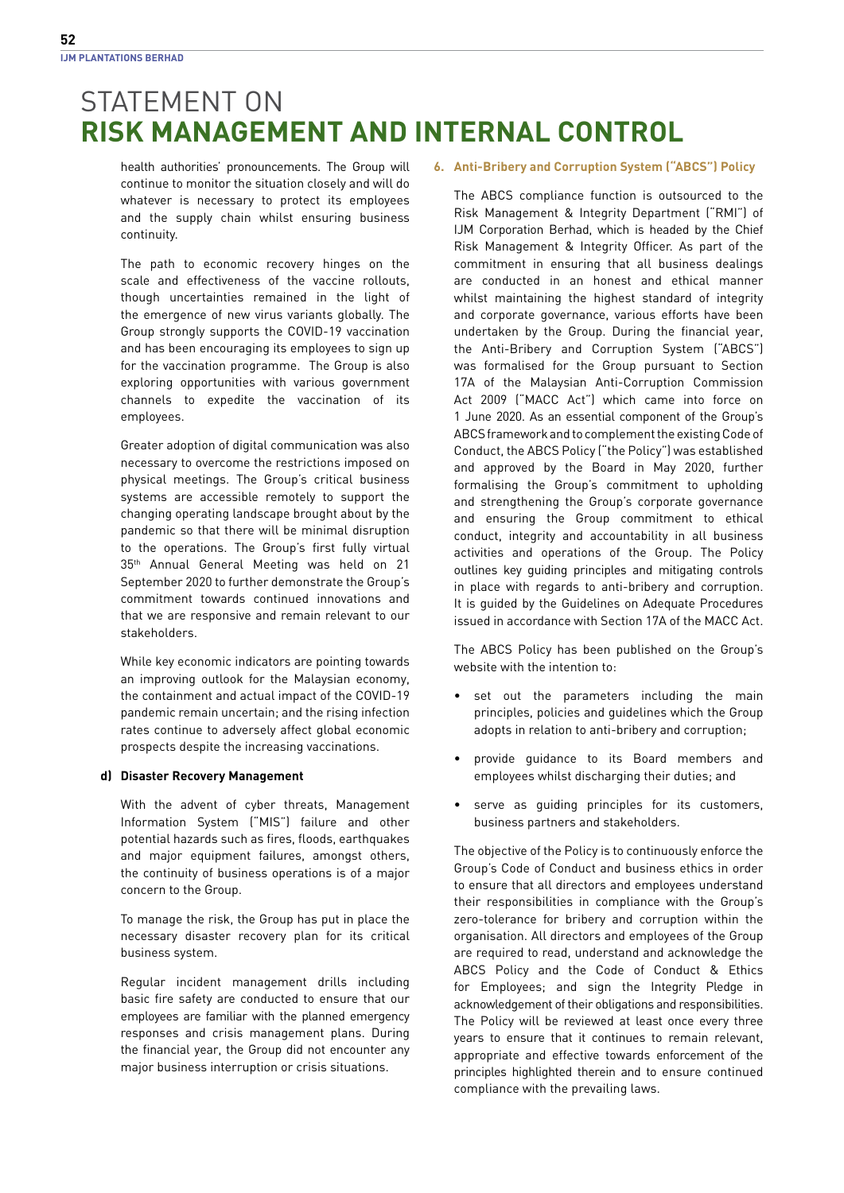health authorities' pronouncements. The Group will continue to monitor the situation closely and will do whatever is necessary to protect its employees and the supply chain whilst ensuring business continuity.

The path to economic recovery hinges on the scale and effectiveness of the vaccine rollouts, though uncertainties remained in the light of the emergence of new virus variants globally. The Group strongly supports the COVID-19 vaccination and has been encouraging its employees to sign up for the vaccination programme. The Group is also exploring opportunities with various government channels to expedite the vaccination of its employees.

 Greater adoption of digital communication was also necessary to overcome the restrictions imposed on physical meetings. The Group's critical business systems are accessible remotely to support the changing operating landscape brought about by the pandemic so that there will be minimal disruption to the operations. The Group's first fully virtual 35<sup>th</sup> Annual General Meeting was held on 21 September 2020 to further demonstrate the Group's commitment towards continued innovations and that we are responsive and remain relevant to our stakeholders.

 While key economic indicators are pointing towards an improving outlook for the Malaysian economy, the containment and actual impact of the COVID-19 pandemic remain uncertain; and the rising infection rates continue to adversely affect global economic prospects despite the increasing vaccinations.

### **d) Disaster Recovery Management**

 With the advent of cyber threats, Management Information System ("MIS") failure and other potential hazards such as fires, floods, earthquakes and major equipment failures, amongst others, the continuity of business operations is of a major concern to the Group.

To manage the risk, the Group has put in place the necessary disaster recovery plan for its critical business system.

Regular incident management drills including basic fire safety are conducted to ensure that our employees are familiar with the planned emergency responses and crisis management plans. During the financial year, the Group did not encounter any major business interruption or crisis situations.

### **6. Anti-Bribery and Corruption System ("ABCS") Policy**

The ABCS compliance function is outsourced to the Risk Management & Integrity Department ("RMI") of IJM Corporation Berhad, which is headed by the Chief Risk Management & Integrity Officer. As part of the commitment in ensuring that all business dealings are conducted in an honest and ethical manner whilst maintaining the highest standard of integrity and corporate governance, various efforts have been undertaken by the Group. During the financial year, the Anti-Bribery and Corruption System ("ABCS") was formalised for the Group pursuant to Section 17A of the Malaysian Anti-Corruption Commission Act 2009 ("MACC Act") which came into force on 1 June 2020. As an essential component of the Group's ABCS framework and to complement the existing Code of Conduct, the ABCS Policy ("the Policy") was established and approved by the Board in May 2020, further formalising the Group's commitment to upholding and strengthening the Group's corporate governance and ensuring the Group commitment to ethical conduct, integrity and accountability in all business activities and operations of the Group. The Policy outlines key guiding principles and mitigating controls in place with regards to anti-bribery and corruption. It is guided by the Guidelines on Adequate Procedures issued in accordance with Section 17A of the MACC Act.

 The ABCS Policy has been published on the Group's website with the intention to:

- set out the parameters including the main principles, policies and guidelines which the Group adopts in relation to anti-bribery and corruption;
- provide guidance to its Board members and employees whilst discharging their duties; and
- serve as guiding principles for its customers, business partners and stakeholders.

 The objective of the Policy is to continuously enforce the Group's Code of Conduct and business ethics in order to ensure that all directors and employees understand their responsibilities in compliance with the Group's zero-tolerance for bribery and corruption within the organisation. All directors and employees of the Group are required to read, understand and acknowledge the ABCS Policy and the Code of Conduct & Ethics for Employees; and sign the Integrity Pledge in acknowledgement of their obligations and responsibilities. The Policy will be reviewed at least once every three years to ensure that it continues to remain relevant, appropriate and effective towards enforcement of the principles highlighted therein and to ensure continued compliance with the prevailing laws.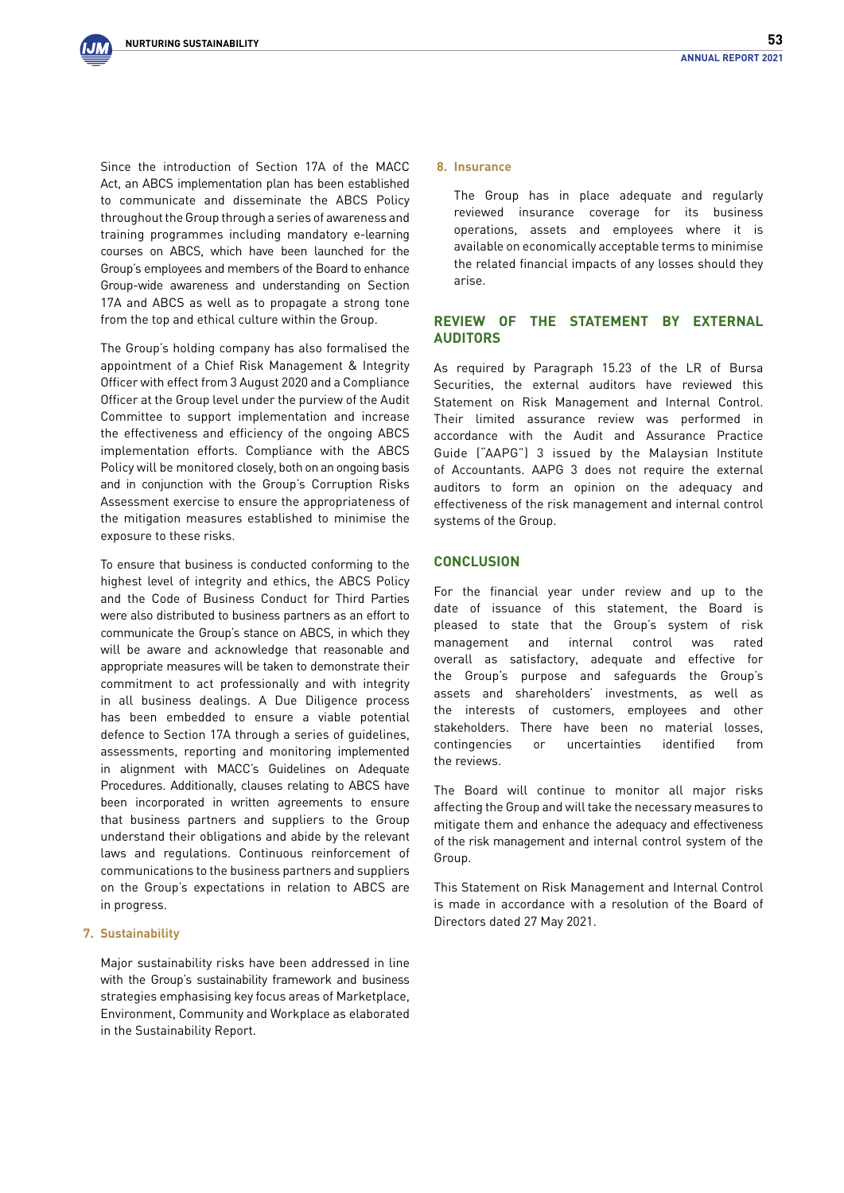Since the introduction of Section 17A of the MACC Act, an ABCS implementation plan has been established to communicate and disseminate the ABCS Policy throughout the Group through a series of awareness and training programmes including mandatory e-learning courses on ABCS, which have been launched for the Group's employees and members of the Board to enhance Group-wide awareness and understanding on Section 17A and ABCS as well as to propagate a strong tone from the top and ethical culture within the Group.

 The Group's holding company has also formalised the appointment of a Chief Risk Management & Integrity Officer with effect from 3 August 2020 and a Compliance Officer at the Group level under the purview of the Audit Committee to support implementation and increase the effectiveness and efficiency of the ongoing ABCS implementation efforts. Compliance with the ABCS Policy will be monitored closely, both on an ongoing basis and in conjunction with the Group's Corruption Risks Assessment exercise to ensure the appropriateness of the mitigation measures established to minimise the exposure to these risks.

 To ensure that business is conducted conforming to the highest level of integrity and ethics, the ABCS Policy and the Code of Business Conduct for Third Parties were also distributed to business partners as an effort to communicate the Group's stance on ABCS, in which they will be aware and acknowledge that reasonable and appropriate measures will be taken to demonstrate their commitment to act professionally and with integrity in all business dealings. A Due Diligence process has been embedded to ensure a viable potential defence to Section 17A through a series of guidelines, assessments, reporting and monitoring implemented in alignment with MACC's Guidelines on Adequate Procedures. Additionally, clauses relating to ABCS have been incorporated in written agreements to ensure that business partners and suppliers to the Group understand their obligations and abide by the relevant laws and regulations. Continuous reinforcement of communications to the business partners and suppliers on the Group's expectations in relation to ABCS are in progress.

### **7. Sustainability**

 Major sustainability risks have been addressed in line with the Group's sustainability framework and business strategies emphasising key focus areas of Marketplace, Environment, Community and Workplace as elaborated in the Sustainability Report.

#### **8. Insurance**

 The Group has in place adequate and regularly reviewed insurance coverage for its business operations, assets and employees where it is available on economically acceptable terms to minimise the related financial impacts of any losses should they arise.

### **REVIEW OF THE STATEMENT BY EXTERNAL AUDITORS**

As required by Paragraph 15.23 of the LR of Bursa Securities, the external auditors have reviewed this Statement on Risk Management and Internal Control. Their limited assurance review was performed in accordance with the Audit and Assurance Practice Guide ("AAPG") 3 issued by the Malaysian Institute of Accountants. AAPG 3 does not require the external auditors to form an opinion on the adequacy and effectiveness of the risk management and internal control systems of the Group.

### **CONCLUSION**

For the financial year under review and up to the date of issuance of this statement, the Board is pleased to state that the Group's system of risk management and internal control was rated overall as satisfactory, adequate and effective for the Group's purpose and safeguards the Group's assets and shareholders' investments, as well as the interests of customers, employees and other stakeholders. There have been no material losses, contingencies or uncertainties identified from the reviews.

The Board will continue to monitor all major risks affecting the Group and will take the necessary measures to mitigate them and enhance the adequacy and effectiveness of the risk management and internal control system of the Group.

This Statement on Risk Management and Internal Control is made in accordance with a resolution of the Board of Directors dated 27 May 2021.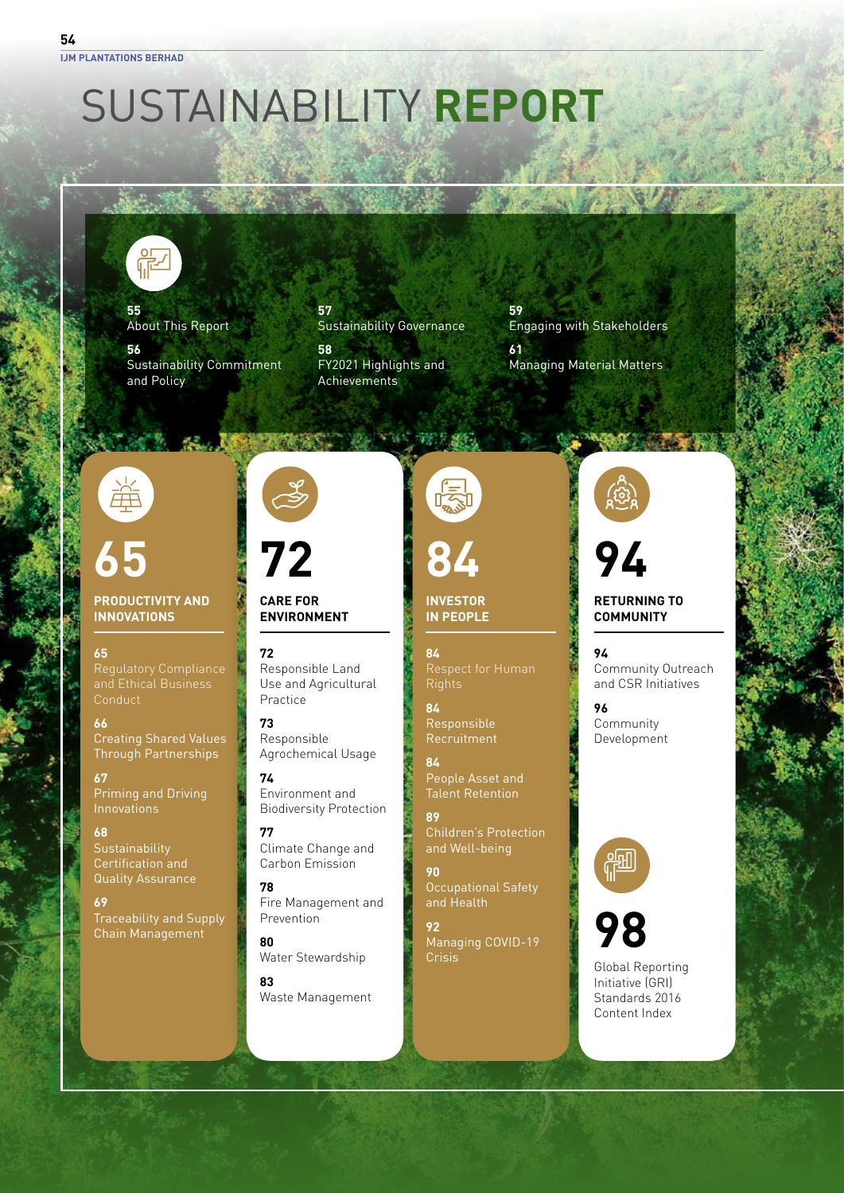# SUSTAINABILITY **REPORT**



**55** About This Report

**56** Sustainability Commitment and Policy

**57** Sustainability Governance

**58** FY2021 Highlights and **Achievements** 

**59** Engaging with Stakeholders **61** Managing Material Matters

A MARINE



## **65**

### **PRODUCTIVITY AND INNOVATIONS**

### **65**

Regulatory Compliance and Ethical Business **Conduct** 

**66** Creating Shared Values Through Partnerships

**67** Priming and Driving Innovations

### **68 Sustainability** Certification and Quality Assurance

**69** Traceability and Supply Chain Management

# **72**

**72**

### **CARE FOR ENVIRONMENT**

Responsible Land Use and Agricultural Practice

**73** Responsible Agrochemical Usage

**74** Environment and Biodiversity Protection

**77** Climate Change and Carbon Emission

### **78**

Fire Management and Prevention **80**

Water Stewardship

**83** Waste Management

**不可干 (不可开 200)** 

**INVESTOR 84**

**IN PEOPLE**

**84**

**84** Responsible Recruitment

**84** People Asset and Talent Retention

**89** Children's Protection and Well-being

**90** Occupational Safety and Health

**92** Managing COVID-19 Crisis

**94**

### **RETURNING TO COMMUNITY**

**94** Community Outreach and CSR Initiatives

**96** Community Development





Global Reporting Initiative (GRI) Standards 2016 Content Index